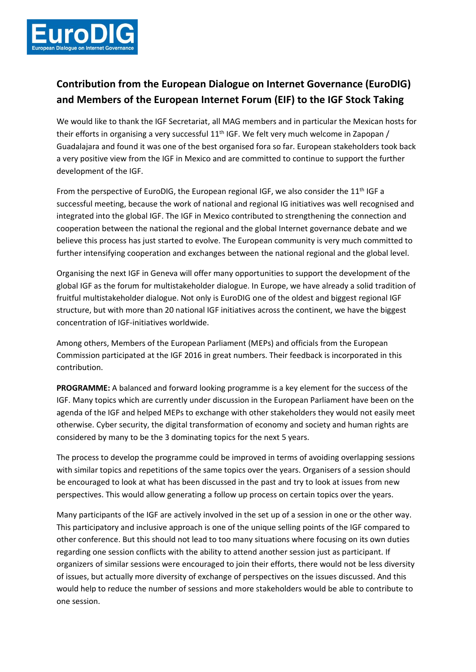

## **Contribution from the European Dialogue on Internet Governance (EuroDIG) and Members of the European Internet Forum (EIF) to the IGF Stock Taking**

We would like to thank the IGF Secretariat, all MAG members and in particular the Mexican hosts for their efforts in organising a very successful  $11<sup>th</sup>$  IGF. We felt very much welcome in Zapopan / Guadalajara and found it was one of the best organised fora so far. European stakeholders took back a very positive view from the IGF in Mexico and are committed to continue to support the further development of the IGF.

From the perspective of EuroDIG, the European regional IGF, we also consider the 11<sup>th</sup> IGF a successful meeting, because the work of national and regional IG initiatives was well recognised and integrated into the global IGF. The IGF in Mexico contributed to strengthening the connection and cooperation between the national the regional and the global Internet governance debate and we believe this process has just started to evolve. The European community is very much committed to further intensifying cooperation and exchanges between the national regional and the global level.

Organising the next IGF in Geneva will offer many opportunities to support the development of the global IGF as the forum for multistakeholder dialogue. In Europe, we have already a solid tradition of fruitful multistakeholder dialogue. Not only is EuroDIG one of the oldest and biggest regional IGF structure, but with more than 20 national IGF initiatives across the continent, we have the biggest concentration of IGF-initiatives worldwide.

Among others, Members of the European Parliament (MEPs) and officials from the European Commission participated at the IGF 2016 in great numbers. Their feedback is incorporated in this contribution.

**PROGRAMME:** A balanced and forward looking programme is a key element for the success of the IGF. Many topics which are currently under discussion in the European Parliament have been on the agenda of the IGF and helped MEPs to exchange with other stakeholders they would not easily meet otherwise. Cyber security, the digital transformation of economy and society and human rights are considered by many to be the 3 dominating topics for the next 5 years.

The process to develop the programme could be improved in terms of avoiding overlapping sessions with similar topics and repetitions of the same topics over the years. Organisers of a session should be encouraged to look at what has been discussed in the past and try to look at issues from new perspectives. This would allow generating a follow up process on certain topics over the years.

Many participants of the IGF are actively involved in the set up of a session in one or the other way. This participatory and inclusive approach is one of the unique selling points of the IGF compared to other conference. But this should not lead to too many situations where focusing on its own duties regarding one session conflicts with the ability to attend another session just as participant. If organizers of similar sessions were encouraged to join their efforts, there would not be less diversity of issues, but actually more diversity of exchange of perspectives on the issues discussed. And this would help to reduce the number of sessions and more stakeholders would be able to contribute to one session.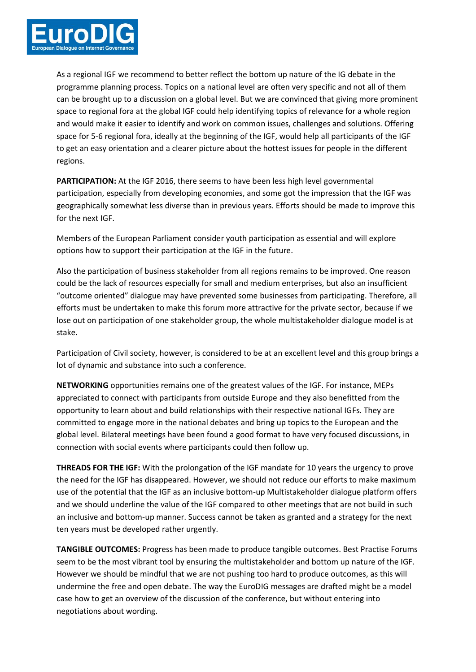

As a regional IGF we recommend to better reflect the bottom up nature of the IG debate in the programme planning process. Topics on a national level are often very specific and not all of them can be brought up to a discussion on a global level. But we are convinced that giving more prominent space to regional fora at the global IGF could help identifying topics of relevance for a whole region and would make it easier to identify and work on common issues, challenges and solutions. Offering space for 5-6 regional fora, ideally at the beginning of the IGF, would help all participants of the IGF to get an easy orientation and a clearer picture about the hottest issues for people in the different regions.

**PARTICIPATION:** At the IGF 2016, there seems to have been less high level governmental participation, especially from developing economies, and some got the impression that the IGF was geographically somewhat less diverse than in previous years. Efforts should be made to improve this for the next IGF.

Members of the European Parliament consider youth participation as essential and will explore options how to support their participation at the IGF in the future.

Also the participation of business stakeholder from all regions remains to be improved. One reason could be the lack of resources especially for small and medium enterprises, but also an insufficient "outcome oriented" dialogue may have prevented some businesses from participating. Therefore, all efforts must be undertaken to make this forum more attractive for the private sector, because if we lose out on participation of one stakeholder group, the whole multistakeholder dialogue model is at stake.

Participation of Civil society, however, is considered to be at an excellent level and this group brings a lot of dynamic and substance into such a conference.

**NETWORKING** opportunities remains one of the greatest values of the IGF. For instance, MEPs appreciated to connect with participants from outside Europe and they also benefitted from the opportunity to learn about and build relationships with their respective national IGFs. They are committed to engage more in the national debates and bring up topics to the European and the global level. Bilateral meetings have been found a good format to have very focused discussions, in connection with social events where participants could then follow up.

**THREADS FOR THE IGF:** With the prolongation of the IGF mandate for 10 years the urgency to prove the need for the IGF has disappeared. However, we should not reduce our efforts to make maximum use of the potential that the IGF as an inclusive bottom-up Multistakeholder dialogue platform offers and we should underline the value of the IGF compared to other meetings that are not build in such an inclusive and bottom-up manner. Success cannot be taken as granted and a strategy for the next ten years must be developed rather urgently.

**TANGIBLE OUTCOMES:** Progress has been made to produce tangible outcomes. Best Practise Forums seem to be the most vibrant tool by ensuring the multistakeholder and bottom up nature of the IGF. However we should be mindful that we are not pushing too hard to produce outcomes, as this will undermine the free and open debate. The way the EuroDIG messages are drafted might be a model case how to get an overview of the discussion of the conference, but without entering into negotiations about wording.